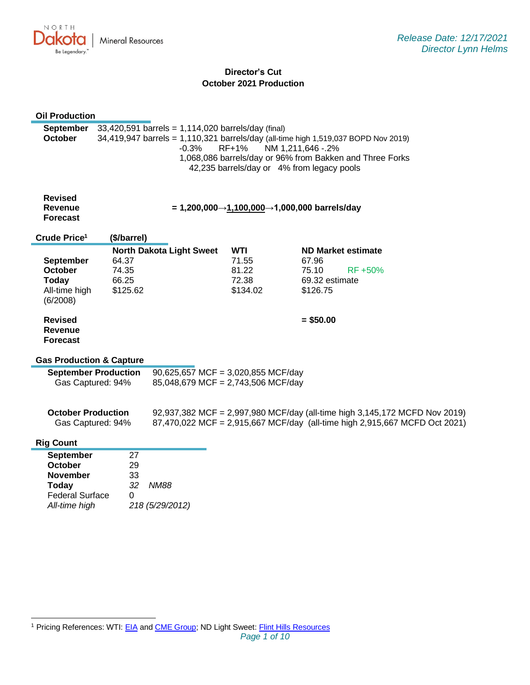

# **Director's Cut October 2021 Production**

| <b>Oil Production</b>                                                                                     |                                     |                                                                                                                                                     |                                                   |                                                                                                                              |                                                                                                                                                          |
|-----------------------------------------------------------------------------------------------------------|-------------------------------------|-----------------------------------------------------------------------------------------------------------------------------------------------------|---------------------------------------------------|------------------------------------------------------------------------------------------------------------------------------|----------------------------------------------------------------------------------------------------------------------------------------------------------|
| September<br><b>October</b>                                                                               |                                     | 33,420,591 barrels = 1,114,020 barrels/day (final)<br>34,419,947 barrels = 1,110,321 barrels/day (all-time high 1,519,037 BOPD Nov 2019)<br>$-0.3%$ | RF+1%                                             | NM 1,211,646 - .2%<br>1,068,086 barrels/day or 96% from Bakken and Three Forks<br>42,235 barrels/day or 4% from legacy pools |                                                                                                                                                          |
| <b>Revised</b><br><b>Revenue</b><br><b>Forecast</b>                                                       |                                     |                                                                                                                                                     |                                                   | = 1,200,000→1,100,000→1,000,000 barrels/day                                                                                  |                                                                                                                                                          |
| Crude Price <sup>1</sup>                                                                                  | (\$/barrel)                         |                                                                                                                                                     |                                                   |                                                                                                                              |                                                                                                                                                          |
| <b>September</b><br><b>October</b><br><b>Today</b><br>All-time high<br>(6/2008)                           | 64.37<br>74.35<br>66.25<br>\$125.62 | <b>North Dakota Light Sweet</b>                                                                                                                     | <b>WTI</b><br>71.55<br>81.22<br>72.38<br>\$134.02 | <b>ND Market estimate</b><br>67.96<br>75.10<br>69.32 estimate<br>\$126.75                                                    | RF +50%                                                                                                                                                  |
| <b>Revised</b><br><b>Revenue</b><br><b>Forecast</b>                                                       |                                     |                                                                                                                                                     |                                                   | $= $50.00$                                                                                                                   |                                                                                                                                                          |
| <b>Gas Production &amp; Capture</b>                                                                       |                                     |                                                                                                                                                     |                                                   |                                                                                                                              |                                                                                                                                                          |
| Gas Captured: 94%                                                                                         | <b>September Production</b>         | 90,625,657 MCF = 3,020,855 MCF/day<br>85,048,679 MCF = 2,743,506 MCF/day                                                                            |                                                   |                                                                                                                              |                                                                                                                                                          |
| <b>October Production</b><br>Gas Captured: 94%                                                            |                                     |                                                                                                                                                     |                                                   |                                                                                                                              | 92,937,382 MCF = 2,997,980 MCF/day (all-time high 3,145,172 MCFD Nov 2019)<br>87,470,022 MCF = 2,915,667 MCF/day (all-time high 2,915,667 MCFD Oct 2021) |
| <b>Rig Count</b>                                                                                          |                                     |                                                                                                                                                     |                                                   |                                                                                                                              |                                                                                                                                                          |
| <b>September</b><br>October<br><b>November</b><br><b>Today</b><br><b>Federal Surface</b><br>All-time high | 27<br>29<br>33<br>32<br>0           | <b>NM88</b><br>218 (5/29/2012)                                                                                                                      |                                                   |                                                                                                                              |                                                                                                                                                          |

<sup>1</sup> Pricing References: WTI[: EIA](https://www.eia.gov/dnav/pet/hist/LeafHandler.ashx?n=PET&s=RCLC1&f=M) and [CME Group;](https://www.cmegroup.com/trading/energy/crude-oil/light-sweet-crude.html) ND Light Sweet: [Flint Hills Resources](https://www.fhr.com/products-services/fuels-and-aromatics)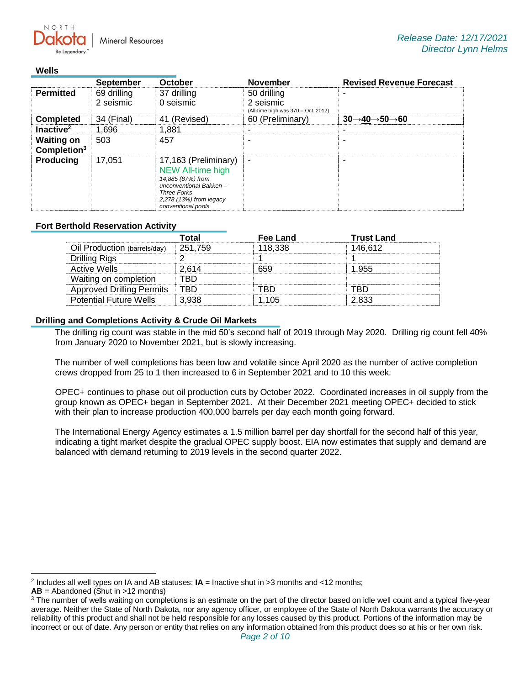**Mineral Resources** 

### **Wells**

 $N$   $\cap$   $R$   $T$   $\vdash$ 

|                                              | <b>September</b> | October                                                                                                                                                         | <b>November</b>                                  | <b>Revised Revenue Forecast</b>                   |
|----------------------------------------------|------------------|-----------------------------------------------------------------------------------------------------------------------------------------------------------------|--------------------------------------------------|---------------------------------------------------|
| <b>Permitted</b>                             | 69 drilling      | 37 drilling                                                                                                                                                     | 50 drilling                                      | -                                                 |
|                                              | 2 seismic        | 0 seismic                                                                                                                                                       | 2 seismic<br>(All-time high was 370 - Oct. 2012) |                                                   |
| <b>Completed</b>                             | 34 (Final)       | 41 (Revised)                                                                                                                                                    | 60 (Preliminary)                                 | $30 \rightarrow 40 \rightarrow 50 \rightarrow 60$ |
| Inactive <sup>2</sup>                        | 1.696            | 1.881                                                                                                                                                           |                                                  |                                                   |
| <b>Waiting on</b><br>Completion <sup>3</sup> | 503              | 457                                                                                                                                                             |                                                  |                                                   |
| Producing                                    | 17,051           | 17,163 (Preliminary)<br><b>NEW All-time high</b><br>14,885 (87%) from<br>unconventional Bakken-<br>Three Forks<br>2,278 (13%) from legacy<br>conventional pools | ٠                                                | -                                                 |

## **Fort Berthold Reservation Activity**

|                                  | Γotal   | Fee Land | <b>Trust Land</b> |
|----------------------------------|---------|----------|-------------------|
| Oil Production (barrels/day)     | 251.759 | 118.338  | 146.612           |
| Drilling Rigs                    |         |          |                   |
| Active Wells                     | 2.614   | 659      | l 955             |
| Waiting on completion            | вn      |          |                   |
| <b>Approved Drilling Permits</b> | -TRD    |          |                   |
| <b>Potential Future Wells</b>    | 3.938   | 1 105    | 2.833             |

## **Drilling and Completions Activity & Crude Oil Markets**

The drilling rig count was stable in the mid 50's second half of 2019 through May 2020. Drilling rig count fell 40% from January 2020 to November 2021, but is slowly increasing.

The number of well completions has been low and volatile since April 2020 as the number of active completion crews dropped from 25 to 1 then increased to 6 in September 2021 and to 10 this week.

OPEC+ continues to phase out oil production cuts by October 2022. Coordinated increases in oil supply from the group known as OPEC+ began in September 2021. At their December 2021 meeting OPEC+ decided to stick with their plan to increase production 400,000 barrels per day each month going forward.

The International Energy Agency estimates a 1.5 million barrel per day shortfall for the second half of this year, indicating a tight market despite the gradual OPEC supply boost. EIA now estimates that supply and demand are balanced with demand returning to 2019 levels in the second quarter 2022.

<sup>2</sup> Includes all well types on IA and AB statuses: **IA** = Inactive shut in >3 months and <12 months;

**AB** = Abandoned (Shut in >12 months)

<sup>&</sup>lt;sup>3</sup> The number of wells waiting on completions is an estimate on the part of the director based on idle well count and a typical five-year average. Neither the State of North Dakota, nor any agency officer, or employee of the State of North Dakota warrants the accuracy or reliability of this product and shall not be held responsible for any losses caused by this product. Portions of the information may be incorrect or out of date. Any person or entity that relies on any information obtained from this product does so at his or her own risk.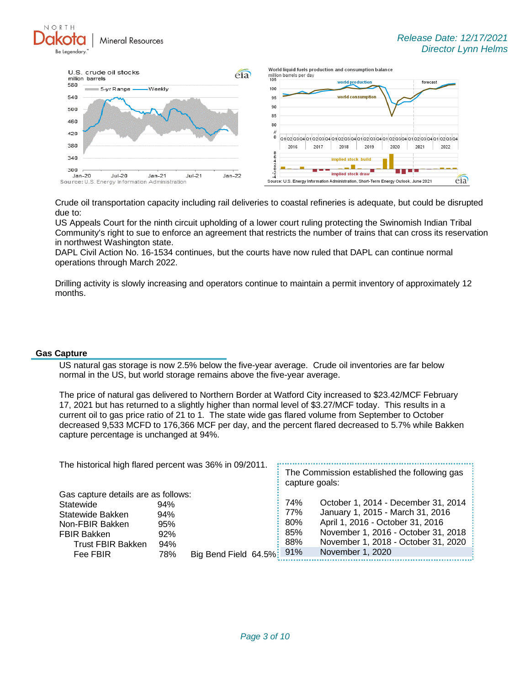NORTH **Mineral Resources** 



Crude oil transportation capacity including rail deliveries to coastal refineries is adequate, but could be disrupted due to:

US Appeals Court for the ninth circuit upholding of a lower court ruling protecting the Swinomish Indian Tribal Community's right to sue to enforce an agreement that restricts the number of trains that can cross its reservation in northwest Washington state.

DAPL Civil Action No. 16-1534 continues, but the courts have now ruled that DAPL can continue normal operations through March 2022.

Drilling activity is slowly increasing and operators continue to maintain a permit inventory of approximately 12 months.

### **Gas Capture**

US natural gas storage is now 2.5% below the five-year average. Crude oil inventories are far below normal in the US, but world storage remains above the five-year average.

The price of natural gas delivered to Northern Border at Watford City increased to \$23.42/MCF February 17, 2021 but has returned to a slightly higher than normal level of \$3.27/MCF today. This results in a current oil to gas price ratio of 21 to 1. The state wide gas flared volume from September to October decreased 9,533 MCFD to 176,366 MCF per day, and the percent flared decreased to 5.7% while Bakken capture percentage is unchanged at 94%.

| The historical high flared percent was 36% in 09/2011. |     |                       |  | The Commission established the following gas<br>capture goals: |                                     |  |
|--------------------------------------------------------|-----|-----------------------|--|----------------------------------------------------------------|-------------------------------------|--|
| Gas capture details are as follows:                    |     |                       |  |                                                                |                                     |  |
| Statewide                                              | 94% |                       |  | 74%                                                            | October 1, 2014 - December 31, 2014 |  |
| Statewide Bakken                                       | 94% |                       |  | 77%                                                            | January 1, 2015 - March 31, 2016    |  |
| Non-FBIR Bakken                                        | 95% |                       |  | 80%                                                            | April 1, 2016 - October 31, 2016    |  |
| <b>FBIR Bakken</b>                                     | 92% |                       |  | 85%                                                            | November 1, 2016 - October 31, 2018 |  |
| <b>Trust FBIR Bakken</b>                               | 94% |                       |  | 88%                                                            | November 1, 2018 - October 31, 2020 |  |
| Fee FBIR                                               | 78% | Big Bend Field 64.5%: |  | 91%                                                            | November 1, 2020                    |  |
|                                                        |     |                       |  |                                                                |                                     |  |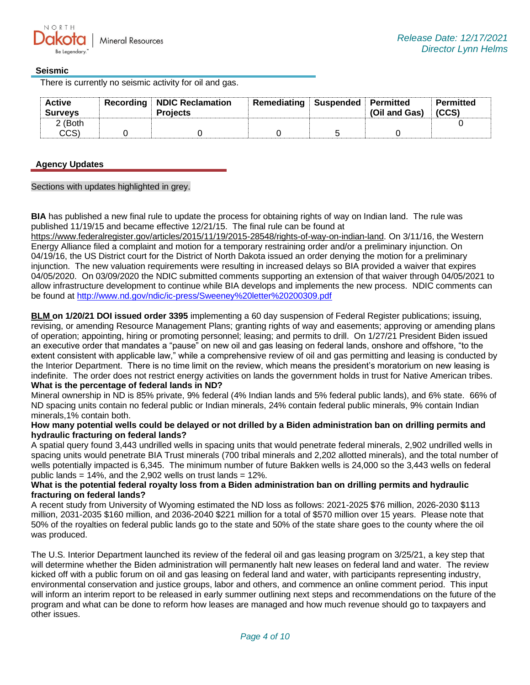## **Seismic**

There is currently no seismic activity for oil and gas.

| <b>Active</b><br><b>Surveys</b> | <b>Recording NDIC Reclamation</b><br><b>Projects</b> | Remediating Suspended Permitted | (Oil and Gas) | <b>Permitted</b><br>(CCS) |
|---------------------------------|------------------------------------------------------|---------------------------------|---------------|---------------------------|
| 2 (Both                         |                                                      |                                 |               |                           |
| CCS'                            |                                                      |                                 |               |                           |

## **Agency Updates**

Sections with updates highlighted in grey.

**BIA** has published a new final rule to update the process for obtaining rights of way on Indian land. The rule was published 11/19/15 and became effective 12/21/15. The final rule can be found at

[https://www.federalregister.gov/articles/2015/11/19/2015-28548/rights-of-way-on-indian-land.](https://gcc02.safelinks.protection.outlook.com/?url=https%3A%2F%2Fwww.federalregister.gov%2Farticles%2F2015%2F11%2F19%2F2015-28548%2Frights-of-way-on-indian-land&data=04%7C01%7Ckahaarsager%40nd.gov%7Cdc43afb7de534381b4cb08d9c179e700%7C2dea0464da514a88bae2b3db94bc0c54%7C0%7C0%7C637753551573610857%7CUnknown%7CTWFpbGZsb3d8eyJWIjoiMC4wLjAwMDAiLCJQIjoiV2luMzIiLCJBTiI6Ik1haWwiLCJXVCI6Mn0%3D%7C3000&sdata=kHrOZUet4tYsCcjkmQeRKhcJmryUcUlubIxK4NkiVwo%3D&reserved=0) On 3/11/16, the Western Energy Alliance filed a complaint and motion for a temporary restraining order and/or a preliminary injunction. On 04/19/16, the US District court for the District of North Dakota issued an order denying the motion for a preliminary injunction. The new valuation requirements were resulting in increased delays so BIA provided a waiver that expires 04/05/2020. On 03/09/2020 the NDIC submitted comments supporting an extension of that waiver through 04/05/2021 to allow infrastructure development to continue while BIA develops and implements the new process. NDIC comments can be found at<http://www.nd.gov/ndic/ic-press/Sweeney%20letter%20200309.pdf>

**BLM on 1/20/21 DOI issued order 3395** implementing a 60 day suspension of Federal Register publications; issuing, revising, or amending Resource Management Plans; granting rights of way and easements; approving or amending plans of operation; appointing, hiring or promoting personnel; leasing; and permits to drill. On 1/27/21 President Biden issued an executive order that mandates a "pause" on new oil and gas leasing on federal lands, onshore and offshore, "to the extent consistent with applicable law," while a comprehensive review of oil and gas permitting and leasing is conducted by the Interior Department. There is no time limit on the review, which means the president's moratorium on new leasing is indefinite. The order does not restrict energy activities on lands the government holds in trust for Native American tribes. **What is the percentage of federal lands in ND?**

Mineral ownership in ND is 85% private, 9% federal (4% Indian lands and 5% federal public lands), and 6% state. 66% of ND spacing units contain no federal public or Indian minerals, 24% contain federal public minerals, 9% contain Indian minerals,1% contain both.

### **How many potential wells could be delayed or not drilled by a Biden administration ban on drilling permits and hydraulic fracturing on federal lands?**

A spatial query found 3,443 undrilled wells in spacing units that would penetrate federal minerals, 2,902 undrilled wells in spacing units would penetrate BIA Trust minerals (700 tribal minerals and 2,202 allotted minerals), and the total number of wells potentially impacted is 6,345. The minimum number of future Bakken wells is 24,000 so the 3,443 wells on federal public lands =  $14\%$ , and the 2,902 wells on trust lands =  $12\%$ .

## **What is the potential federal royalty loss from a Biden administration ban on drilling permits and hydraulic fracturing on federal lands?**

A recent study from University of Wyoming estimated the ND loss as follows: 2021-2025 \$76 million, 2026-2030 \$113 million, 2031-2035 \$160 million, and 2036-2040 \$221 million for a total of \$570 million over 15 years. Please note that 50% of the royalties on federal public lands go to the state and 50% of the state share goes to the county where the oil was produced.

The U.S. Interior Department launched its review of the federal oil and gas leasing program on 3/25/21, a key step that will determine whether the Biden administration will permanently halt new leases on federal land and water. The review kicked off with a public forum on oil and gas leasing on federal land and water, with participants representing industry, environmental conservation and justice groups, labor and others, and commence an online comment period. This input will inform an interim report to be released in early summer outlining next steps and recommendations on the future of the program and what can be done to reform how leases are managed and how much revenue should go to taxpayers and other issues.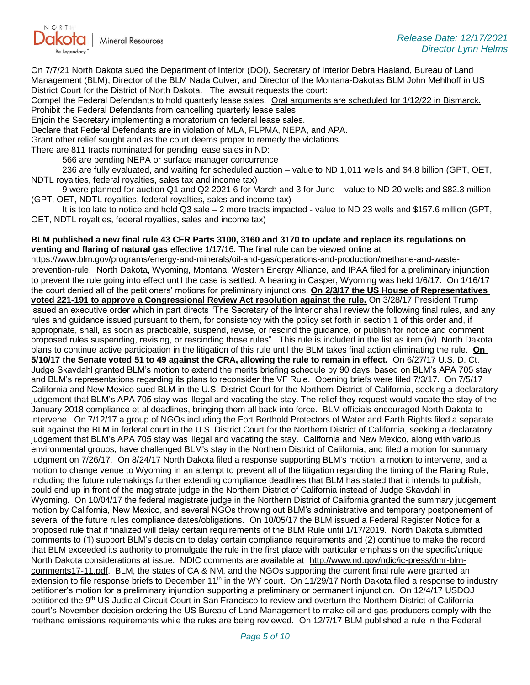

On 7/7/21 North Dakota sued the Department of Interior (DOI), Secretary of Interior Debra Haaland, Bureau of Land Management (BLM), Director of the BLM Nada Culver, and Director of the Montana-Dakotas BLM John Mehlhoff in US District Court for the District of North Dakota. The lawsuit requests the court:

Compel the Federal Defendants to hold quarterly lease sales. Oral arguments are scheduled for 1/12/22 in Bismarck. Prohibit the Federal Defendants from cancelling quarterly lease sales.

Enjoin the Secretary implementing a moratorium on federal lease sales.

Declare that Federal Defendants are in violation of MLA, FLPMA, NEPA, and APA.

Grant other relief sought and as the court deems proper to remedy the violations.

There are 811 tracts nominated for pending lease sales in ND:

566 are pending NEPA or surface manager concurrence

236 are fully evaluated, and waiting for scheduled auction – value to ND 1,011 wells and \$4.8 billion (GPT, OET, NDTL royalties, federal royalties, sales tax and income tax)

9 were planned for auction Q1 and Q2 2021 6 for March and 3 for June – value to ND 20 wells and \$82.3 million (GPT, OET, NDTL royalties, federal royalties, sales and income tax)

It is too late to notice and hold Q3 sale – 2 more tracts impacted - value to ND 23 wells and \$157.6 million (GPT, OET, NDTL royalties, federal royalties, sales and income tax)

#### **BLM published a new final rule 43 CFR Parts 3100, 3160 and 3170 to update and replace its regulations on venting and flaring of natural gas** effective 1/17/16. The final rule can be viewed online at

[https://www.blm.gov/programs/energy-and-minerals/oil-and-gas/operations-and-production/methane-and-waste](https://gcc02.safelinks.protection.outlook.com/?url=https%3A%2F%2Fwww.blm.gov%2Fprograms%2Fenergy-and-minerals%2Foil-and-gas%2Foperations-and-production%2Fmethane-and-waste-prevention-rule&data=04%7C01%7Ckahaarsager%40nd.gov%7Cdc43afb7de534381b4cb08d9c179e700%7C2dea0464da514a88bae2b3db94bc0c54%7C0%7C0%7C637753551573610857%7CUnknown%7CTWFpbGZsb3d8eyJWIjoiMC4wLjAwMDAiLCJQIjoiV2luMzIiLCJBTiI6Ik1haWwiLCJXVCI6Mn0%3D%7C3000&sdata=h9MM1tqGLG%2BjhGSwd0CeLewINhhHh8gzm9pHYTGrNao%3D&reserved=0)[prevention-rule](https://gcc02.safelinks.protection.outlook.com/?url=https%3A%2F%2Fwww.blm.gov%2Fprograms%2Fenergy-and-minerals%2Foil-and-gas%2Foperations-and-production%2Fmethane-and-waste-prevention-rule&data=04%7C01%7Ckahaarsager%40nd.gov%7Cdc43afb7de534381b4cb08d9c179e700%7C2dea0464da514a88bae2b3db94bc0c54%7C0%7C0%7C637753551573610857%7CUnknown%7CTWFpbGZsb3d8eyJWIjoiMC4wLjAwMDAiLCJQIjoiV2luMzIiLCJBTiI6Ik1haWwiLCJXVCI6Mn0%3D%7C3000&sdata=h9MM1tqGLG%2BjhGSwd0CeLewINhhHh8gzm9pHYTGrNao%3D&reserved=0). North Dakota, Wyoming, Montana, Western Energy Alliance, and IPAA filed for a preliminary injunction to prevent the rule going into effect until the case is settled. A hearing in Casper, Wyoming was held 1/6/17. On 1/16/17 the court denied all of the petitioners' motions for preliminary injunctions. **On 2/3/17 the US House of Representatives voted 221-191 to approve a Congressional Review Act resolution against the rule.** On 3/28/17 President Trump issued an executive order which in part directs "The Secretary of the Interior shall review the following final rules, and any rules and guidance issued pursuant to them, for consistency with the policy set forth in section 1 of this order and, if appropriate, shall, as soon as practicable, suspend, revise, or rescind the guidance, or publish for notice and comment proposed rules suspending, revising, or rescinding those rules". This rule is included in the list as item (iv). North Dakota plans to continue active participation in the litigation of this rule until the BLM takes final action eliminating the rule. **On 5/10/17 the Senate voted 51 to 49 against the CRA, allowing the rule to remain in effect.** On 6/27/17 U.S. D. Ct. Judge Skavdahl granted BLM's motion to extend the merits briefing schedule by 90 days, based on BLM's APA 705 stay and BLM's representations regarding its plans to reconsider the VF Rule. Opening briefs were filed 7/3/17. On 7/5/17 California and New Mexico sued BLM in the U.S. District Court for the Northern District of California, seeking a declaratory judgement that BLM's APA 705 stay was illegal and vacating the stay. The relief they request would vacate the stay of the January 2018 compliance et al deadlines, bringing them all back into force. BLM officials encouraged North Dakota to intervene. On 7/12/17 a group of NGOs including the Fort Berthold Protectors of Water and Earth Rights filed a separate suit against the BLM in federal court in the U.S. District Court for the Northern District of California, seeking a declaratory judgement that BLM's APA 705 stay was illegal and vacating the stay. California and New Mexico, along with various environmental groups, have challenged BLM's stay in the Northern District of California, and filed a motion for summary judgment on 7/26/17. On 8/24/17 North Dakota filed a response supporting BLM's motion, a motion to intervene, and a motion to change venue to Wyoming in an attempt to prevent all of the litigation regarding the timing of the Flaring Rule, including the future rulemakings further extending compliance deadlines that BLM has stated that it intends to publish, could end up in front of the magistrate judge in the Northern District of California instead of Judge Skavdahl in Wyoming. On 10/04/17 the federal magistrate judge in the Northern District of California granted the summary judgement motion by California, New Mexico, and several NGOs throwing out BLM's administrative and temporary postponement of several of the future rules compliance dates/obligations. On 10/05/17 the BLM issued a Federal Register Notice for a proposed rule that if finalized will delay certain requirements of the BLM Rule until 1/17/2019. North Dakota submitted comments to (1) support BLM's decision to delay certain compliance requirements and (2) continue to make the record that BLM exceeded its authority to promulgate the rule in the first place with particular emphasis on the specific/unique North Dakota considerations at issue. NDIC comments are available at [http://www.nd.gov/ndic/ic-press/dmr-blm](http://www.nd.gov/ndic/ic-press/dmr-blm-comments17-11.pdf)[comments17-11.pdf.](http://www.nd.gov/ndic/ic-press/dmr-blm-comments17-11.pdf) BLM, the states of CA & NM, and the NGOs supporting the current final rule were granted an extension to file response briefs to December 11<sup>th</sup> in the WY court. On 11/29/17 North Dakota filed a response to industry petitioner's motion for a preliminary injunction supporting a preliminary or permanent injunction. On 12/4/17 USDOJ petitioned the 9<sup>th</sup> US Judicial Circuit Court in San Francisco to review and overturn the Northern District of California court's November decision ordering the US Bureau of Land Management to make oil and gas producers comply with the methane emissions requirements while the rules are being reviewed. On 12/7/17 BLM published a rule in the Federal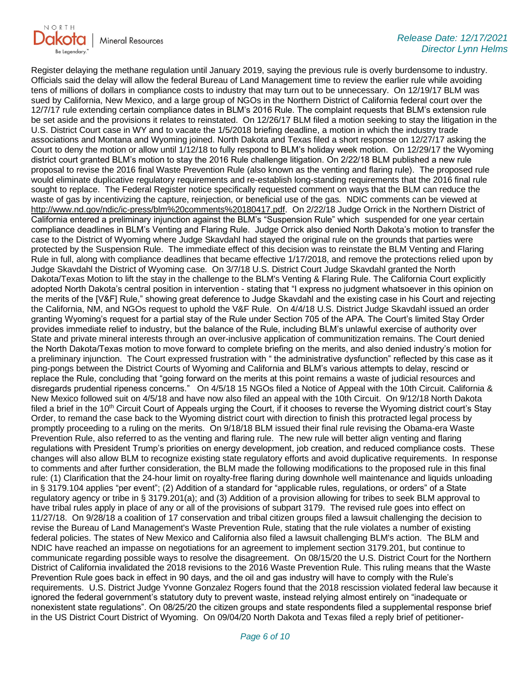

Register delaying the methane regulation until January 2019, saying the previous rule is overly burdensome to industry. Officials said the delay will allow the federal Bureau of Land Management time to review the earlier rule while avoiding tens of millions of dollars in compliance costs to industry that may turn out to be unnecessary. On 12/19/17 BLM was sued by California, New Mexico, and a large group of NGOs in the Northern District of California federal court over the 12/7/17 rule extending certain compliance dates in BLM's 2016 Rule. The complaint requests that BLM's extension rule be set aside and the provisions it relates to reinstated. On 12/26/17 BLM filed a motion seeking to stay the litigation in the U.S. District Court case in WY and to vacate the 1/5/2018 briefing deadline, a motion in which the industry trade associations and Montana and Wyoming joined. North Dakota and Texas filed a short response on 12/27/17 asking the Court to deny the motion or allow until 1/12/18 to fully respond to BLM's holiday week motion. On 12/29/17 the Wyoming district court granted BLM's motion to stay the 2016 Rule challenge litigation. On 2/22/18 BLM published a new rule proposal to revise the 2016 final Waste Prevention Rule (also known as the venting and flaring rule). The proposed rule would eliminate duplicative regulatory requirements and re-establish long-standing requirements that the 2016 final rule sought to replace. The Federal Register notice specifically requested comment on ways that the BLM can reduce the waste of gas by incentivizing the capture, reinjection, or beneficial use of the gas. NDIC comments can be viewed at [http://www.nd.gov/ndic/ic-press/blm%20comments%20180417.pdf.](http://www.nd.gov/ndic/ic-press/blm%20comments%20180417.pdf) On 2/22/18 Judge Orrick in the Northern District of California entered a preliminary injunction against the BLM's "Suspension Rule" which suspended for one year certain compliance deadlines in BLM's Venting and Flaring Rule. Judge Orrick also denied North Dakota's motion to transfer the case to the District of Wyoming where Judge Skavdahl had stayed the original rule on the grounds that parties were protected by the Suspension Rule. The immediate effect of this decision was to reinstate the BLM Venting and Flaring Rule in full, along with compliance deadlines that became effective 1/17/2018, and remove the protections relied upon by Judge Skavdahl the District of Wyoming case. On 3/7/18 U.S. District Court Judge Skavdahl granted the North Dakota/Texas Motion to lift the stay in the challenge to the BLM's Venting & Flaring Rule. The California Court explicitly adopted North Dakota's central position in intervention - stating that "I express no judgment whatsoever in this opinion on the merits of the [V&F] Rule," showing great deference to Judge Skavdahl and the existing case in his Court and rejecting the California, NM, and NGOs request to uphold the V&F Rule. On 4/4/18 U.S. District Judge Skavdahl issued an order granting Wyoming's request for a partial stay of the Rule under Section 705 of the APA. The Court's limited Stay Order provides immediate relief to industry, but the balance of the Rule, including BLM's unlawful exercise of authority over State and private mineral interests through an over-inclusive application of communitization remains. The Court denied the North Dakota/Texas motion to move forward to complete briefing on the merits, and also denied industry's motion for a preliminary injunction. The Court expressed frustration with " the administrative dysfunction" reflected by this case as it ping-pongs between the District Courts of Wyoming and California and BLM's various attempts to delay, rescind or replace the Rule, concluding that "going forward on the merits at this point remains a waste of judicial resources and disregards prudential ripeness concerns." On 4/5/18 15 NGOs filed a Notice of Appeal with the 10th Circuit. California & New Mexico followed suit on 4/5/18 and have now also filed an appeal with the 10th Circuit. On 9/12/18 North Dakota filed a brief in the  $10<sup>th</sup>$  Circuit Court of Appeals urging the Court, if it chooses to reverse the Wyoming district court's Stay Order, to remand the case back to the Wyoming district court with direction to finish this protracted legal process by promptly proceeding to a ruling on the merits. On 9/18/18 BLM issued their final rule revising the Obama-era Waste Prevention Rule, also referred to as the venting and flaring rule. The new rule will better align venting and flaring regulations with President Trump's priorities on energy development, job creation, and reduced compliance costs. These changes will also allow BLM to recognize existing state regulatory efforts and avoid duplicative requirements. In response to comments and after further consideration, the BLM made the following modifications to the proposed rule in this final rule: (1) Clarification that the 24-hour limit on royalty-free flaring during downhole well maintenance and liquids unloading in § 3179.104 applies "per event"; (2) Addition of a standard for "applicable rules, regulations, or orders" of a State regulatory agency or tribe in § 3179.201(a); and (3) Addition of a provision allowing for tribes to seek BLM approval to have tribal rules apply in place of any or all of the provisions of subpart 3179. The revised rule goes into effect on 11/27/18. On 9/28/18 a coalition of 17 conservation and tribal citizen groups filed a lawsuit challenging the decision to revise the Bureau of Land Management's Waste Prevention Rule, stating that the rule violates a number of existing federal policies. The states of New Mexico and California also filed a lawsuit challenging BLM's action. The BLM and NDIC have reached an impasse on negotiations for an agreement to implement section 3179.201, but continue to communicate regarding possible ways to resolve the disagreement. On 08/15/20 the U.S. District Court for the Northern District of California invalidated the 2018 revisions to the 2016 Waste Prevention Rule. This ruling means that the Waste Prevention Rule goes back in effect in 90 days, and the oil and gas industry will have to comply with the Rule's requirements. U.S. District Judge Yvonne Gonzalez Rogers found that the 2018 rescission violated federal law because it ignored the federal government's statutory duty to prevent waste, instead relying almost entirely on "inadequate or nonexistent state regulations". On 08/25/20 the citizen groups and state respondents filed a supplemental response brief in the US District Court District of Wyoming. On 09/04/20 North Dakota and Texas filed a reply brief of petitioner-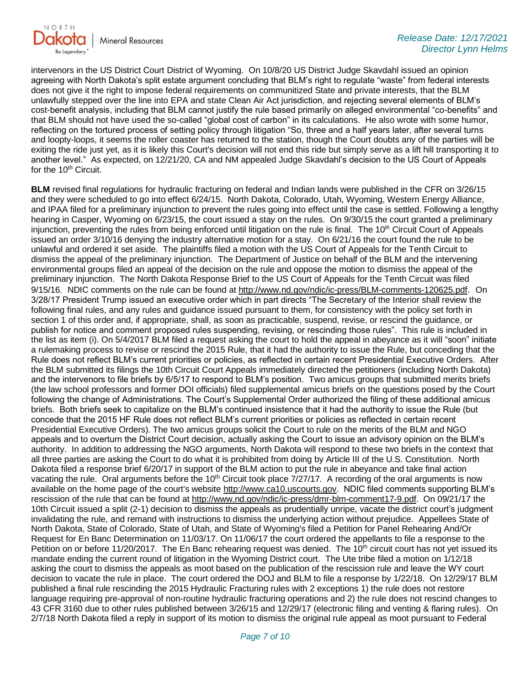

intervenors in the US District Court District of Wyoming. On 10/8/20 US District Judge Skavdahl issued an opinion agreeing with North Dakota's split estate argument concluding that BLM's right to regulate "waste" from federal interests does not give it the right to impose federal requirements on communitized State and private interests, that the BLM unlawfully stepped over the line into EPA and state Clean Air Act jurisdiction, and rejecting several elements of BLM's cost-benefit analysis, including that BLM cannot justify the rule based primarily on alleged environmental "co-benefits" and that BLM should not have used the so-called "global cost of carbon" in its calculations. He also wrote with some humor, reflecting on the tortured process of setting policy through litigation "So, three and a half years later, after several turns and loopty-loops, it seems the roller coaster has returned to the station, though the Court doubts any of the parties will be exiting the ride just yet, as it is likely this Court's decision will not end this ride but simply serve as a lift hill transporting it to another level." As expected, on 12/21/20, CA and NM appealed Judge Skavdahl's decision to the US Court of Appeals for the 10<sup>th</sup> Circuit.

**BLM** revised final regulations for hydraulic fracturing on federal and Indian lands were published in the CFR on 3/26/15 and they were scheduled to go into effect 6/24/15. North Dakota, Colorado, Utah, Wyoming, Western Energy Alliance, and IPAA filed for a preliminary injunction to prevent the rules going into effect until the case is settled. Following a lengthy hearing in Casper, Wyoming on 6/23/15, the court issued a stay on the rules. On 9/30/15 the court granted a preliminary injunction, preventing the rules from being enforced until litigation on the rule is final. The 10<sup>th</sup> Circuit Court of Appeals issued an order 3/10/16 denying the industry alternative motion for a stay. On 6/21/16 the court found the rule to be unlawful and ordered it set aside. The plaintiffs filed a motion with the US Court of Appeals for the Tenth Circuit to dismiss the appeal of the preliminary injunction. The Department of Justice on behalf of the BLM and the intervening environmental groups filed an appeal of the decision on the rule and oppose the motion to dismiss the appeal of the preliminary injunction. The North Dakota Response Brief to the US Court of Appeals for the Tenth Circuit was filed 9/15/16. NDIC comments on the rule can be found a[t http://www.nd.gov/ndic/ic-press/BLM-comments-120625.pdf](http://www.nd.gov/ndic/ic-press/BLM-comments-120625.pdf). On 3/28/17 President Trump issued an executive order which in part directs "The Secretary of the Interior shall review the following final rules, and any rules and guidance issued pursuant to them, for consistency with the policy set forth in section 1 of this order and, if appropriate, shall, as soon as practicable, suspend, revise, or rescind the guidance, or publish for notice and comment proposed rules suspending, revising, or rescinding those rules". This rule is included in the list as item (i). On 5/4/2017 BLM filed a request asking the court to hold the appeal in abeyance as it will "soon" initiate a rulemaking process to revise or rescind the 2015 Rule, that it had the authority to issue the Rule, but conceding that the Rule does not reflect BLM's current priorities or policies, as reflected in certain recent Presidential Executive Orders. After the BLM submitted its filings the 10th Circuit Court Appeals immediately directed the petitioners (including North Dakota) and the intervenors to file briefs by 6/5/17 to respond to BLM's position. Two amicus groups that submitted merits briefs (the law school professors and former DOI officials) filed supplemental amicus briefs on the questions posed by the Court following the change of Administrations. The Court's Supplemental Order authorized the filing of these additional amicus briefs. Both briefs seek to capitalize on the BLM's continued insistence that it had the authority to issue the Rule (but concede that the 2015 HF Rule does not reflect BLM's current priorities or policies as reflected in certain recent Presidential Executive Orders). The two amicus groups solicit the Court to rule on the merits of the BLM and NGO appeals and to overturn the District Court decision, actually asking the Court to issue an advisory opinion on the BLM's authority. In addition to addressing the NGO arguments, North Dakota will respond to these two briefs in the context that all three parties are asking the Court to do what it is prohibited from doing by Article III of the U.S. Constitution. North Dakota filed a response brief 6/20/17 in support of the BLM action to put the rule in abeyance and take final action vacating the rule. Oral arguments before the 10<sup>th</sup> Circuit took place  $7/27/17$ . A recording of the oral arguments is now available on the home page of the court's website [http://www.ca10.uscourts.gov.](https://gcc02.safelinks.protection.outlook.com/?url=https%3A%2F%2Furldefense.proofpoint.com%2Fv2%2Furl%3Fu%3Dhttp-3A__www.ca10.uscourts.gov%26d%3DDwMGaQ%26c%3D2s2mvbfY0UoSKkl6_Ol9wg%26r%3D-wqsZnBxny594KY8HeElow%26m%3DUl_VtJUX6iW5pvHjCcBxUWtskC0F4Dhry3sPtcEHvCw%26s%3DlaRHiLDv5w8otcQWQjpn82WMieoB2AZ-Q4M1LFQPL5s%26e%3D&data=04%7C01%7Ckahaarsager%40nd.gov%7Cdc43afb7de534381b4cb08d9c179e700%7C2dea0464da514a88bae2b3db94bc0c54%7C0%7C0%7C637753551573610857%7CUnknown%7CTWFpbGZsb3d8eyJWIjoiMC4wLjAwMDAiLCJQIjoiV2luMzIiLCJBTiI6Ik1haWwiLCJXVCI6Mn0%3D%7C3000&sdata=b8Mue2yyumgTE7Vs%2BwnNKj%2Bj6hpjAbnrpVqx5SNIaEs%3D&reserved=0) NDIC filed comments supporting BLM's rescission of the rule that can be found a[t http://www.nd.gov/ndic/ic-press/dmr-blm-comment17-9.pdf.](http://www.nd.gov/ndic/ic-press/dmr-blm-comment17-9.pdf) On 09/21/17 the 10th Circuit issued a split (2-1) decision to dismiss the appeals as prudentially unripe, vacate the district court's judgment invalidating the rule, and remand with instructions to dismiss the underlying action without prejudice. Appellees State of North Dakota, State of Colorado, State of Utah, and State of Wyoming's filed a Petition for Panel Rehearing And/Or Request for En Banc Determination on 11/03/17. On 11/06/17 the court ordered the appellants to file a response to the Petition on or before 11/20/2017. The En Banc rehearing request was denied. The 10<sup>th</sup> circuit court has not yet issued its mandate ending the current round of litigation in the Wyoming District court. The Ute tribe filed a motion on 1/12/18 asking the court to dismiss the appeals as moot based on the publication of the rescission rule and leave the WY court decision to vacate the rule in place. The court ordered the DOJ and BLM to file a response by 1/22/18. On 12/29/17 BLM published a final rule rescinding the 2015 Hydraulic Fracturing rules with 2 exceptions 1) the rule does not restore language requiring pre-approval of non-routine hydraulic fracturing operations and 2) the rule does not rescind changes to 43 CFR 3160 due to other rules published between 3/26/15 and 12/29/17 (electronic filing and venting & flaring rules). On 2/7/18 North Dakota filed a reply in support of its motion to dismiss the original rule appeal as moot pursuant to Federal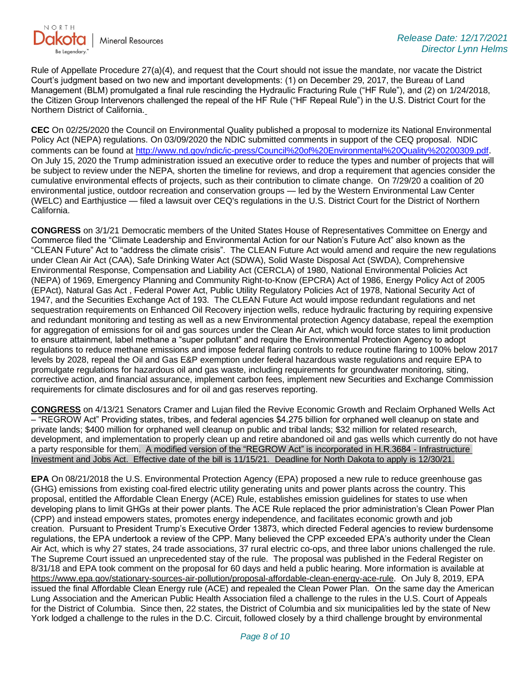

Rule of Appellate Procedure 27(a)(4), and request that the Court should not issue the mandate, nor vacate the District Court's judgment based on two new and important developments: (1) on December 29, 2017, the Bureau of Land Management (BLM) promulgated a final rule rescinding the Hydraulic Fracturing Rule ("HF Rule"), and (2) on 1/24/2018, the Citizen Group Intervenors challenged the repeal of the HF Rule ("HF Repeal Rule") in the U.S. District Court for the Northern District of California.

**CEC** On 02/25/2020 the Council on Environmental Quality published a proposal to modernize its National Environmental Policy Act (NEPA) regulations. On 03/09/2020 the NDIC submitted comments in support of the CEQ proposal. NDIC comments can be found a[t http://www.nd.gov/ndic/ic-press/Council%20of%20Environmental%20Quality%20200309.pdf](http://www.nd.gov/ndic/ic-press/Council%20of%20Environmental%20Quality%20200309.pdf). On July 15, 2020 the Trump administration issued an executive order to reduce the types and number of projects that will be subject to review under the NEPA, shorten the timeline for reviews, and drop a requirement that agencies consider the cumulative environmental effects of projects, such as their contribution to climate change. On 7/29/20 a coalition of 20 environmental justice, outdoor recreation and conservation groups — led by the Western Environmental Law Center (WELC) and Earthjustice — filed a lawsuit over CEQ's regulations in the U.S. District Court for the District of Northern California.

**CONGRESS** on 3/1/21 Democratic members of the United States House of Representatives Committee on Energy and Commerce filed the "Climate Leadership and Environmental Action for our Nation's Future Act" also known as the "CLEAN Future" Act to "address the climate crisis". The CLEAN Future Act would amend and require the new regulations under Clean Air Act (CAA), Safe Drinking Water Act (SDWA), Solid Waste Disposal Act (SWDA), Comprehensive Environmental Response, Compensation and Liability Act (CERCLA) of 1980, National Environmental Policies Act (NEPA) of 1969, Emergency Planning and Community Right-to-Know (EPCRA) Act of 1986, Energy Policy Act of 2005 (EPAct), Natural Gas Act , Federal Power Act, Public Utility Regulatory Policies Act of 1978, National Security Act of 1947, and the Securities Exchange Act of 193. The CLEAN Future Act would impose redundant regulations and net sequestration requirements on Enhanced Oil Recovery injection wells, reduce hydraulic fracturing by requiring expensive and redundant monitoring and testing as well as a new Environmental protection Agency database, repeal the exemption for aggregation of emissions for oil and gas sources under the Clean Air Act, which would force states to limit production to ensure attainment, label methane a "super pollutant" and require the Environmental Protection Agency to adopt regulations to reduce methane emissions and impose federal flaring controls to reduce routine flaring to 100% below 2017 levels by 2028, repeal the Oil and Gas E&P exemption under federal hazardous waste regulations and require EPA to promulgate regulations for hazardous oil and gas waste, including requirements for groundwater monitoring, siting, corrective action, and financial assurance, implement carbon fees, implement new Securities and Exchange Commission requirements for climate disclosures and for oil and gas reserves reporting.

**CONGRESS** on 4/13/21 Senators Cramer and Lujan filed the Revive Economic Growth and Reclaim Orphaned Wells Act – "REGROW Act" Providing states, tribes, and federal agencies \$4.275 billion for orphaned well cleanup on state and private lands; \$400 million for orphaned well cleanup on public and tribal lands; \$32 million for related research, development, and implementation to properly clean up and retire abandoned oil and gas wells which currently do not have a party responsible for them. A modified version of the "REGROW Act" is incorporated in H.R.3684 - Infrastructure Investment and Jobs Act. Effective date of the bill is 11/15/21. Deadline for North Dakota to apply is 12/30/21.

**EPA** On 08/21/2018 the U.S. Environmental Protection Agency (EPA) proposed a new rule to reduce greenhouse gas (GHG) emissions from existing coal-fired electric utility generating units and power plants across the country. This proposal, entitled the Affordable Clean Energy (ACE) Rule, establishes emission guidelines for states to use when developing plans to limit GHGs at their power plants. The ACE Rule replaced the prior administration's Clean Power Plan (CPP) and instead empowers states, promotes energy independence, and facilitates economic growth and job creation. Pursuant to President Trump's Executive Order 13873, which directed Federal agencies to review burdensome regulations, the EPA undertook a review of the CPP. Many believed the CPP exceeded EPA's authority under the Clean Air Act, which is why 27 states, 24 trade associations, 37 rural electric co-ops, and three labor unions challenged the rule. The Supreme Court issued an unprecedented stay of the rule. The proposal was published in the Federal Register on 8/31/18 and EPA took comment on the proposal for 60 days and held a public hearing. More information is available at [https://www.epa.gov/stationary-sources-air-pollution/proposal-affordable-clean-energy-ace-rule.](https://gcc02.safelinks.protection.outlook.com/?url=https%3A%2F%2Fwww.epa.gov%2Fstationary-sources-air-pollution%2Fproposal-affordable-clean-energy-ace-rule&data=04%7C01%7Ckahaarsager%40nd.gov%7Cdc43afb7de534381b4cb08d9c179e700%7C2dea0464da514a88bae2b3db94bc0c54%7C0%7C0%7C637753551573610857%7CUnknown%7CTWFpbGZsb3d8eyJWIjoiMC4wLjAwMDAiLCJQIjoiV2luMzIiLCJBTiI6Ik1haWwiLCJXVCI6Mn0%3D%7C3000&sdata=tavtKtui0wLnKZ6WP%2FfKzSpuUs%2B9gYvje4EYm2CqXkM%3D&reserved=0) On July 8, 2019, EPA issued the final Affordable Clean Energy rule (ACE) and repealed the Clean Power Plan. On the same day the American Lung Association and the American Public Health Association filed a challenge to the rules in the U.S. Court of Appeals for the District of Columbia. Since then, 22 states, the District of Columbia and six municipalities led by the state of New York lodged a challenge to the rules in the D.C. Circuit, followed closely by a third challenge brought by environmental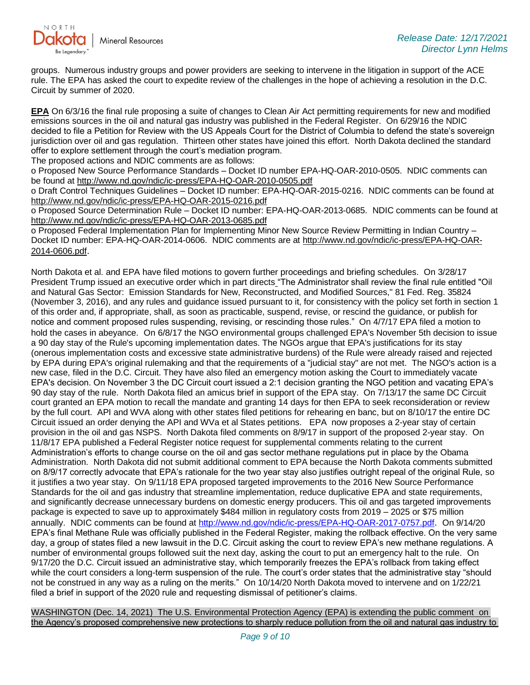

groups. Numerous industry groups and power providers are seeking to intervene in the litigation in support of the ACE rule. The EPA has asked the court to expedite review of the challenges in the hope of achieving a resolution in the D.C. Circuit by summer of 2020.

**EPA** On 6/3/16 the final rule proposing a suite of changes to Clean Air Act permitting requirements for new and modified emissions sources in the oil and natural gas industry was published in the Federal Register. On 6/29/16 the NDIC decided to file a Petition for Review with the US Appeals Court for the District of Columbia to defend the state's sovereign jurisdiction over oil and gas regulation. Thirteen other states have joined this effort. North Dakota declined the standard offer to explore settlement through the court's mediation program.

The proposed actions and NDIC comments are as follows:

o Proposed New Source Performance Standards – Docket ID number EPA-HQ-OAR-2010-0505. NDIC comments can be found at<http://www.nd.gov/ndic/ic-press/EPA-HQ-OAR-2010-0505.pdf>

o Draft Control Techniques Guidelines – Docket ID number: EPA-HQ-OAR-2015-0216. NDIC comments can be found at <http://www.nd.gov/ndic/ic-press/EPA-HQ-OAR-2015-0216.pdf>

o Proposed Source Determination Rule – Docket ID number: EPA-HQ-OAR-2013-0685. NDIC comments can be found at <http://www.nd.gov/ndic/ic-press/EPA-HQ-OAR-2013-0685.pdf>

o Proposed Federal Implementation Plan for Implementing Minor New Source Review Permitting in Indian Country – Docket ID number: EPA-HQ-OAR-2014-0606. NDIC comments are at [http://www.nd.gov/ndic/ic-press/EPA-HQ-OAR-](http://www.nd.gov/ndic/ic-press/EPA-HQ-OAR-2014-0606.pdf)[2014-0606.pdf](http://www.nd.gov/ndic/ic-press/EPA-HQ-OAR-2014-0606.pdf).

North Dakota et al. and EPA have filed motions to govern further proceedings and briefing schedules. On 3/28/17 President Trump issued an executive order which in part directs "The Administrator shall review the final rule entitled "Oil and Natural Gas Sector: Emission Standards for New, Reconstructed, and Modified Sources," 81 Fed. Reg. 35824 (November 3, 2016), and any rules and guidance issued pursuant to it, for consistency with the policy set forth in section 1 of this order and, if appropriate, shall, as soon as practicable, suspend, revise, or rescind the guidance, or publish for notice and comment proposed rules suspending, revising, or rescinding those rules." On 4/7/17 EPA filed a motion to hold the cases in abeyance. On 6/8/17 the NGO environmental groups challenged EPA's November 5th decision to issue a 90 day stay of the Rule's upcoming implementation dates. The NGOs argue that EPA's justifications for its stay (onerous implementation costs and excessive state administrative burdens) of the Rule were already raised and rejected by EPA during EPA's original rulemaking and that the requirements of a "judicial stay" are not met. The NGO's action is a new case, filed in the D.C. Circuit. They have also filed an emergency motion asking the Court to immediately vacate EPA's decision. On November 3 the DC Circuit court issued a 2:1 decision granting the NGO petition and vacating EPA's 90 day stay of the rule. North Dakota filed an amicus brief in support of the EPA stay. On 7/13/17 the same DC Circuit court granted an EPA motion to recall the mandate and granting 14 days for then EPA to seek reconsideration or review by the full court. API and WVA along with other states filed petitions for rehearing en banc, but on 8/10/17 the entire DC Circuit issued an order denying the API and WVa et al States petitions. EPA now proposes a 2-year stay of certain provision in the oil and gas NSPS. North Dakota filed comments on 8/9/17 in support of the proposed 2-year stay. On 11/8/17 EPA published a Federal Register notice request for supplemental comments relating to the current Administration's efforts to change course on the oil and gas sector methane regulations put in place by the Obama Administration. North Dakota did not submit additional comment to EPA because the North Dakota comments submitted on 8/9/17 correctly advocate that EPA's rationale for the two year stay also justifies outright repeal of the original Rule, so it justifies a two year stay. On 9/11/18 EPA proposed targeted improvements to the 2016 New Source Performance Standards for the oil and gas industry that streamline implementation, reduce duplicative EPA and state requirements, and significantly decrease unnecessary burdens on domestic energy producers. This oil and gas targeted improvements package is expected to save up to approximately \$484 million in regulatory costs from 2019 – 2025 or \$75 million annually. NDIC comments can be found at<http://www.nd.gov/ndic/ic-press/EPA-HQ-OAR-2017-0757.pdf>. On 9/14/20 EPA's final Methane Rule was officially published in the Federal Register, making the rollback effective. On the very same day, a group of states filed a new lawsuit in the D.C. Circuit asking the court to review EPA's new methane regulations. A number of environmental groups followed suit the next day, asking the court to put an emergency halt to the rule. On 9/17/20 the D.C. Circuit issued an administrative stay, which temporarily freezes the EPA's rollback from taking effect while the court considers a long-term suspension of the rule. The court's order states that the administrative stay "should not be construed in any way as a ruling on the merits." On 10/14/20 North Dakota moved to intervene and on 1/22/21 filed a brief in support of the 2020 rule and requesting dismissal of petitioner's claims.

WASHINGTON (Dec. 14, 2021) The U.S. Environmental Protection Agency (EPA) is extending the public comment on the Agency's proposed comprehensive new protections to sharply reduce pollution from the oil and natural gas industry to